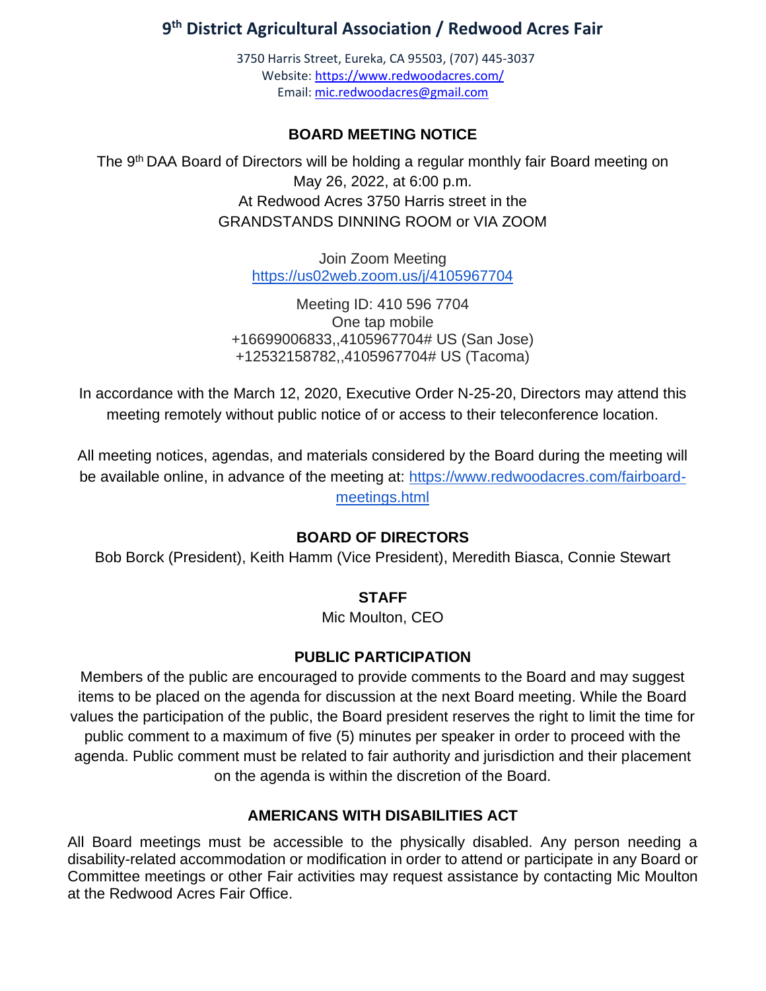## **9 th District Agricultural Association / Redwood Acres Fair**

3750 Harris Street, Eureka, CA 95503, (707) 445-3037 Website[: https://www.redwoodacres.com/](https://www.redwoodacres.com/) Email: [mic.redwoodacres@gmail.com](mailto:mic.redwoodacres@gmail.com)

#### **BOARD MEETING NOTICE**

The 9<sup>th</sup> DAA Board of Directors will be holding a regular monthly fair Board meeting on May 26, 2022, at 6:00 p.m. At Redwood Acres 3750 Harris street in the GRANDSTANDS DINNING ROOM or VIA ZOOM

> Join Zoom Meeting <https://us02web.zoom.us/j/4105967704>

Meeting ID: 410 596 7704 One tap mobile +16699006833,,4105967704# US (San Jose) +12532158782,,4105967704# US (Tacoma)

In accordance with the March 12, 2020, Executive Order N-25-20, Directors may attend this meeting remotely without public notice of or access to their teleconference location.

All meeting notices, agendas, and materials considered by the Board during the meeting will be available online, in advance of the meeting at: [https://www.redwoodacres.com/fairboard](https://www.redwoodacres.com/fairboard-meetings.html)[meetings.html](https://www.redwoodacres.com/fairboard-meetings.html)

#### **BOARD OF DIRECTORS**

Bob Borck (President), Keith Hamm (Vice President), Meredith Biasca, Connie Stewart

#### **STAFF**

Mic Moulton, CEO

#### **PUBLIC PARTICIPATION**

Members of the public are encouraged to provide comments to the Board and may suggest items to be placed on the agenda for discussion at the next Board meeting. While the Board values the participation of the public, the Board president reserves the right to limit the time for public comment to a maximum of five (5) minutes per speaker in order to proceed with the agenda. Public comment must be related to fair authority and jurisdiction and their placement on the agenda is within the discretion of the Board.

#### **AMERICANS WITH DISABILITIES ACT**

All Board meetings must be accessible to the physically disabled. Any person needing a disability-related accommodation or modification in order to attend or participate in any Board or Committee meetings or other Fair activities may request assistance by contacting Mic Moulton at the Redwood Acres Fair Office.